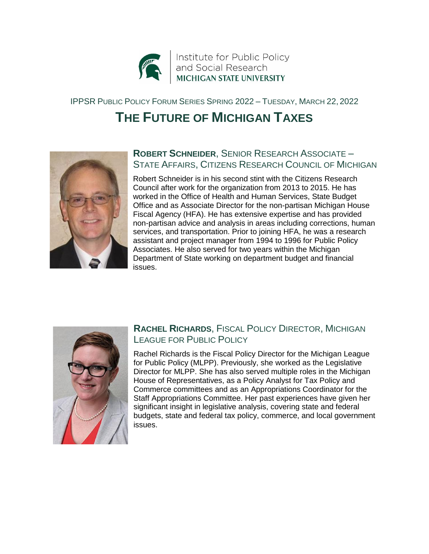

#### IPPSR PUBLIC POLICY FORUM SERIES SPRING 2022 – TUESDAY, MARCH 22, 2022

# **THE FUTURE OF MICHIGAN TAXES**



#### **ROBERT SCHNEIDER**, SENIOR RESEARCH ASSOCIATE – STATE AFFAIRS, CITIZENS RESEARCH COUNCIL OF MICHIGAN

Robert Schneider is in his second stint with the Citizens Research Council after work for the organization from 2013 to 2015. He has worked in the Office of Health and Human Services, State Budget Office and as Associate Director for the non-partisan Michigan House Fiscal Agency (HFA). He has extensive expertise and has provided non-partisan advice and analysis in areas including corrections, human services, and transportation. Prior to joining HFA, he was a research assistant and project manager from 1994 to 1996 for Public Policy Associates. He also served for two years within the Michigan Department of State working on department budget and financial issues.



### **RACHEL RICHARDS**, FISCAL POLICY DIRECTOR, MICHIGAN LEAGUE FOR PUBLIC POLICY

Rachel Richards is the Fiscal Policy Director for the Michigan League for Public Policy (MLPP). Previously, she worked as the Legislative Director for MLPP. She has also served multiple roles in the Michigan House of Representatives, as a Policy Analyst for Tax Policy and Commerce committees and as an Appropriations Coordinator for the Staff Appropriations Committee. Her past experiences have given her significant insight in legislative analysis, covering state and federal budgets, state and federal tax policy, commerce, and local government issues.